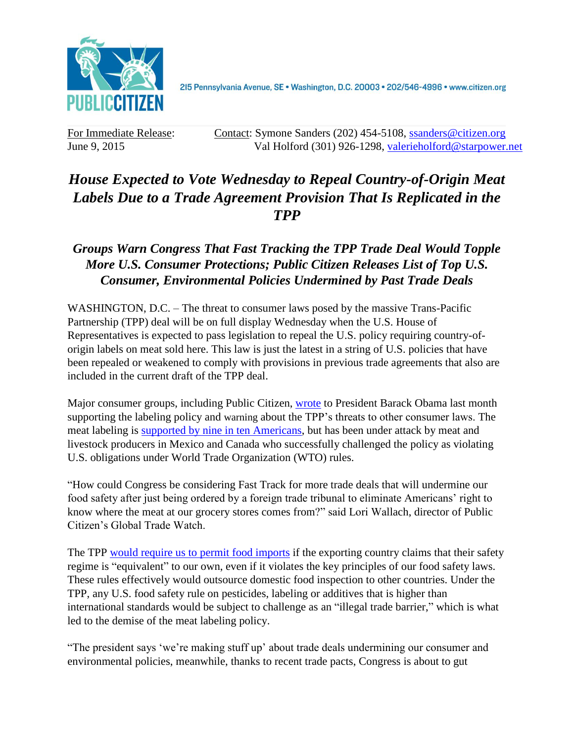

2I5 Pennsylvania Avenue, SE · Washington, D.C. 20003 · 202/546-4996 · www.citizen.org

For Immediate Release: Contact: Symone Sanders (202) 454-5108, [ssanders@citizen.org](mailto:ssanders@citizen.org) June 9, 2015 Val Holford (301) 926-1298, [valerieholford@starpower.net](mailto:valerieholford@starpower.net)

## *House Expected to Vote Wednesday to Repeal Country-of-Origin Meat Labels Due to a Trade Agreement Provision That Is Replicated in the TPP*

## *Groups Warn Congress That Fast Tracking the TPP Trade Deal Would Topple More U.S. Consumer Protections; Public Citizen Releases List of Top U.S. Consumer, Environmental Policies Undermined by Past Trade Deals*

WASHINGTON, D.C. – The threat to consumer laws posed by the massive Trans-Pacific Partnership (TPP) deal will be on full display Wednesday when the U.S. House of Representatives is expected to pass legislation to repeal the U.S. policy requiring country-oforigin labels on meat sold here. This law is just the latest in a string of U.S. policies that have been repealed or weakened to comply with provisions in previous trade agreements that also are included in the current draft of the TPP deal.

Major consumer groups, including Public Citizen, [wrote](http://www.citizen.org/documents/wto-cool-loss-letter-may-2015.pdf) to President Barack Obama last month supporting the labeling policy and warning about the TPP's threats to other consumer laws. The meat labeling is **supported by nine in ten Americans**, but has been under attack by meat and livestock producers in Mexico and Canada who successfully challenged the policy as violating U.S. obligations under World Trade Organization (WTO) rules.

"How could Congress be considering Fast Track for more trade deals that will undermine our food safety after just being ordered by a foreign trade tribunal to eliminate Americans' right to know where the meat at our grocery stores comes from?" said Lori Wallach, director of Public Citizen's Global Trade Watch.

The TPP [would require us to permit food imports](http://www.citizen.org/tpp-food-safety-facts) if the exporting country claims that their safety regime is "equivalent" to our own, even if it violates the key principles of our food safety laws. These rules effectively would outsource domestic food inspection to other countries. Under the TPP, any U.S. food safety rule on pesticides, labeling or additives that is higher than international standards would be subject to challenge as an "illegal trade barrier," which is what led to the demise of the meat labeling policy.

"The president says 'we're making stuff up' about trade deals undermining our consumer and environmental policies, meanwhile, thanks to recent trade pacts, Congress is about to gut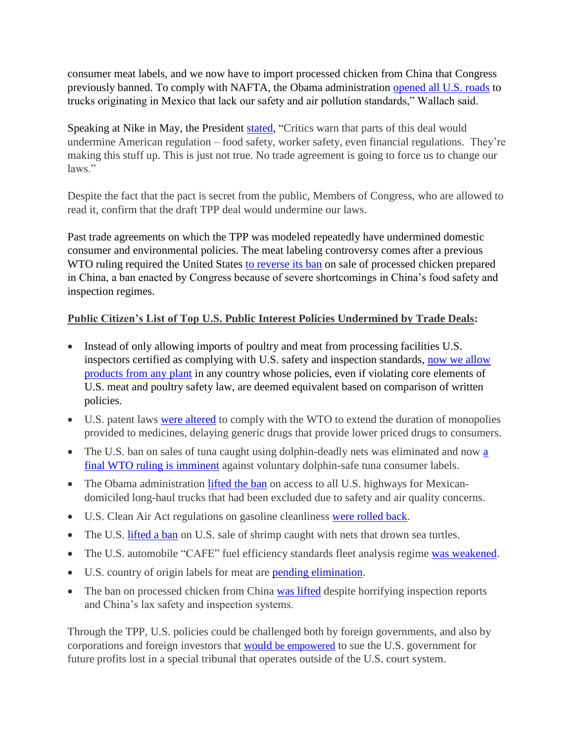consumer meat labels, and we now have to import processed chicken from China that Congress previously banned. To comply with NAFTA, the Obama administration [opened all U.S. roads](http://www.utsandiego.com/news/2015/jan/12/nafta-trucking-measure-implemented/) to trucks originating in Mexico that lack our safety and air pollution standards," Wallach said.

Speaking at Nike in May, the President [stated,](https://www.whitehouse.gov/the-press-office/2015/05/08/remarks-president-trade) "Critics warn that parts of this deal would undermine American regulation – food safety, worker safety, even financial regulations. They're making this stuff up. This is just not true. No trade agreement is going to force us to change our laws."

Despite the fact that the pact is secret from the public, Members of Congress, who are allowed to read it, confirm that the draft TPP deal would undermine our laws.

Past trade agreements on which the TPP was modeled repeatedly have undermined domestic consumer and environmental policies. The meat labeling controversy comes after a previous WTO ruling required the United States [to reverse its ban](http://www.citizen.org/food-under-nafta-wto) on sale of processed chicken prepared in China, a ban enacted by Congress because of severe shortcomings in China's food safety and inspection regimes.

## **Public Citizen's List of Top U.S. Public Interest Policies Undermined by Trade Deals:**

- Instead of only allowing imports of poultry and meat from processing facilities U.S. inspectors certified as complying with U.S. safety and inspection standards, [now we allow](https://www.citizen.org/documents/PCfoodsafety.pdf)  products [from any plant](https://www.citizen.org/documents/PCfoodsafety.pdf) in any country whose policies, even if violating core elements of U.S. meat and poultry safety law, are deemed equivalent based on comparison of written policies.
- U.S. patent laws [were altered](http://www.uspto.gov/web/offices/com/doc/uruguay/SUMMARY.html) to comply with the WTO to extend the duration of monopolies provided to medicines, delaying generic drugs that provide lower priced drugs to consumers.
- The U.S. ban on sales of tuna caught using dolphin-deadly nets was eliminated and now a [final WTO ruling is imminent](http://www.citizen.org/documents/press-release-wto-dolphin-safe-tuna-april-2015.pdf) against voluntary dolphin-safe tuna consumer labels.
- The Obama administration [lifted the ban](http://www.utsandiego.com/news/2015/jan/12/nafta-trucking-measure-implemented/) on access to all U.S. highways for Mexicandomiciled long-haul trucks that had been excluded due to safety and air quality concerns.
- U.S. Clean Air Act regulations on gasoline cleanliness [were rolled back.](http://www.citizen.org/trade/article_redirect.cfm?ID=5499)
- The U.S. [lifted a ban](http://www.citizen.org/trade/article_redirect.cfm?ID=4326) on U.S. sale of shrimp caught with nets that drown sea turtles.
- The U.S. automobile "CAFE" fuel efficiency standards fleet analysis regime [was weakened.](https://www.citizen.org/trade/wto/ENVIRONMENT/)
- U.S. country of origin labels for meat are [pending elimination.](http://www.citizen.org/documents/press-release-wto-cool-ruling-may-2015.pdf)
- The ban on processed chicken from China [was lifted](http://www.citizen.org/food-under-nafta-wto) despite horrifying inspection reports and China's lax safety and inspection systems.

Through the TPP, U.S. policies could be challenged both by foreign governments, and also by corporations and foreign investors that would [be empowered](http://www.citizen.org/Page.aspx?pid=5411) to sue the U.S. government for future profits lost in a special tribunal that operates outside of the U.S. court system.